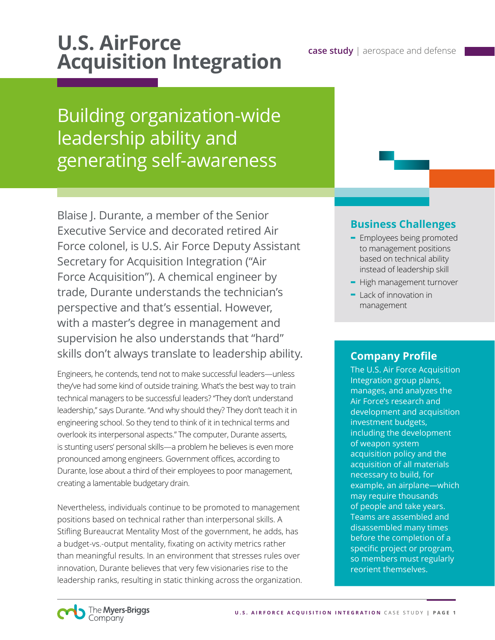# **U.S. AirForce** *case study | aerospace and defense Acquisition Integration*

## Building organization-wide leadership ability and generating self-awareness

Blaise J. Durante, a member of the Senior Executive Service and decorated retired Air Force colonel, is U.S. Air Force Deputy Assistant Secretary for Acquisition Integration ("Air Force Acquisition"). A chemical engineer by trade, Durante understands the technician's perspective and that's essential. However, with a master's degree in management and supervision he also understands that "hard" skills don't always translate to leadership ability.

Engineers, he contends, tend not to make successful leaders—unless they've had some kind of outside training. What's the best way to train technical managers to be successful leaders? "They don't understand leadership," says Durante. "And why should they? They don't teach it in engineering school. So they tend to think of it in technical terms and overlook its interpersonal aspects." The computer, Durante asserts, is stunting users' personal skills—a problem he believes is even more pronounced among engineers. Government offices, according to Durante, lose about a third of their employees to poor management, creating a lamentable budgetary drain.

Nevertheless, individuals continue to be promoted to management positions based on technical rather than interpersonal skills. A Stifling Bureaucrat Mentality Most of the government, he adds, has a budget-vs.-output mentality, fixating on activity metrics rather than meaningful results. In an environment that stresses rules over innovation, Durante believes that very few visionaries rise to the leadership ranks, resulting in static thinking across the organization.

## **Business Challenges**

- **-** Employees being promoted to management positions based on technical ability instead of leadership skill
- **-** High management turnover
- **-** Lack of innovation in management

### **Company Profile**

The U.S. Air Force Acquisition Integration group plans, manages, and analyzes the Air Force's research and development and acquisition investment budgets, including the development of weapon system acquisition policy and the acquisition of all materials necessary to build, for example, an airplane—which may require thousands of people and take years. Teams are assembled and disassembled many times before the completion of a specific project or program, so members must regularly reorient themselves.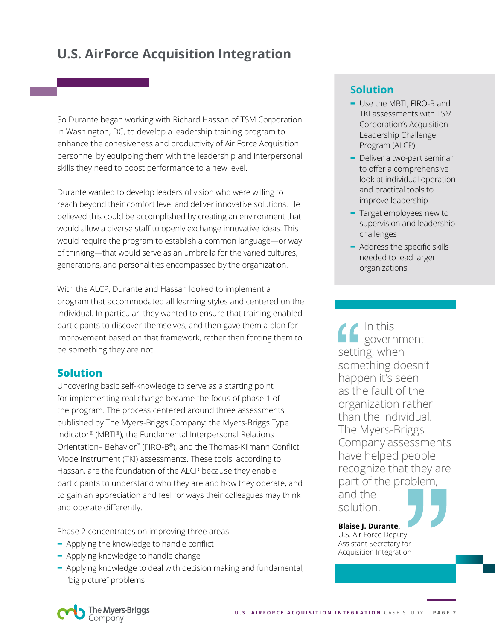So Durante began working with Richard Hassan of TSM Corporation in Washington, DC, to develop a leadership training program to enhance the cohesiveness and productivity of Air Force Acquisition personnel by equipping them with the leadership and interpersonal skills they need to boost performance to a new level.

Durante wanted to develop leaders of vision who were willing to reach beyond their comfort level and deliver innovative solutions. He believed this could be accomplished by creating an environment that would allow a diverse staff to openly exchange innovative ideas. This would require the program to establish a common language—or way of thinking—that would serve as an umbrella for the varied cultures, generations, and personalities encompassed by the organization.

With the ALCP, Durante and Hassan looked to implement a program that accommodated all learning styles and centered on the individual. In particular, they wanted to ensure that training enabled participants to discover themselves, and then gave them a plan for improvement based on that framework, rather than forcing them to be something they are not.

#### **Solution**

Uncovering basic self-knowledge to serve as a starting point for implementing real change became the focus of phase 1 of the program. The process centered around three assessments published by The Myers-Briggs Company: the Myers-Briggs Type Indicator® (MBTI®), the Fundamental Interpersonal Relations Orientation– Behavior™ (FIRO-B®), and the Thomas-Kilmann Conflict Mode Instrument (TKI) assessments. These tools, according to Hassan, are the foundation of the ALCP because they enable participants to understand who they are and how they operate, and to gain an appreciation and feel for ways their colleagues may think and operate differently.

Phase 2 concentrates on improving three areas:

- **-** Applying the knowledge to handle conflict
- **-** Applying knowledge to handle change
- **-** Applying knowledge to deal with decision making and fundamental, "big picture" problems

## **Solution**

- **-** Use the MBTI, FIRO-B and TKI assessments with TSM Corporation's Acquisition Leadership Challenge Program (ALCP)
- **-** Deliver a two-part seminar to offer a comprehensive look at individual operation and practical tools to improve leadership
- **-** Target employees new to supervision and leadership challenges
- **-** Address the specific skills needed to lead larger organizations

In this sovernment setting, when something doesn't happen it's seen as the fault of the organization rather than the individual. The Myers-Briggs Company assessments have helped people recognize that they are part of the problem, and the

solution.

#### **Blaise J. Durante,**

U.S. Air Force Deputy Assistant Secretary for Acquisition Integration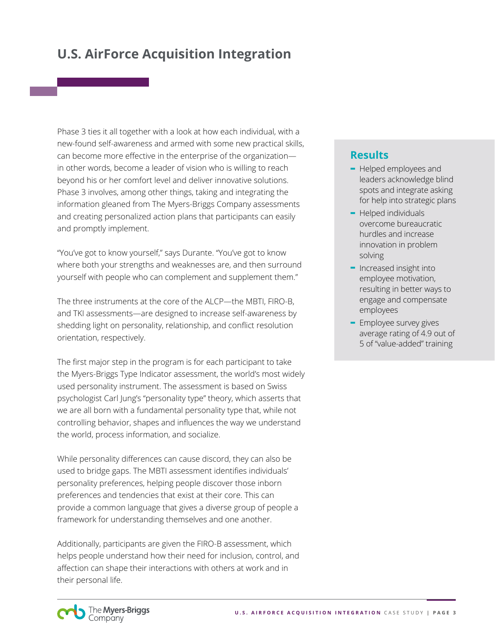Phase 3 ties it all together with a look at how each individual, with a new-found self-awareness and armed with some new practical skills, can become more effective in the enterprise of the organization in other words, become a leader of vision who is willing to reach beyond his or her comfort level and deliver innovative solutions. Phase 3 involves, among other things, taking and integrating the information gleaned from The Myers-Briggs Company assessments and creating personalized action plans that participants can easily and promptly implement.

"You've got to know yourself," says Durante. "You've got to know where both your strengths and weaknesses are, and then surround yourself with people who can complement and supplement them."

The three instruments at the core of the ALCP—the MBTI, FIRO-B, and TKI assessments—are designed to increase self-awareness by shedding light on personality, relationship, and conflict resolution orientation, respectively.

The first major step in the program is for each participant to take the Myers-Briggs Type Indicator assessment, the world's most widely used personality instrument. The assessment is based on Swiss psychologist Carl Jung's "personality type" theory, which asserts that we are all born with a fundamental personality type that, while not controlling behavior, shapes and influences the way we understand the world, process information, and socialize.

While personality differences can cause discord, they can also be used to bridge gaps. The MBTI assessment identifies individuals' personality preferences, helping people discover those inborn preferences and tendencies that exist at their core. This can provide a common language that gives a diverse group of people a framework for understanding themselves and one another.

Additionally, participants are given the FIRO-B assessment, which helps people understand how their need for inclusion, control, and affection can shape their interactions with others at work and in their personal life.

### **Results**

- **-** Helped employees and leaders acknowledge blind spots and integrate asking for help into strategic plans
- **-** Helped individuals overcome bureaucratic hurdles and increase innovation in problem solving
- **-** Increased insight into employee motivation, resulting in better ways to engage and compensate employees
- **-** Employee survey gives average rating of 4.9 out of 5 of "value-added" training

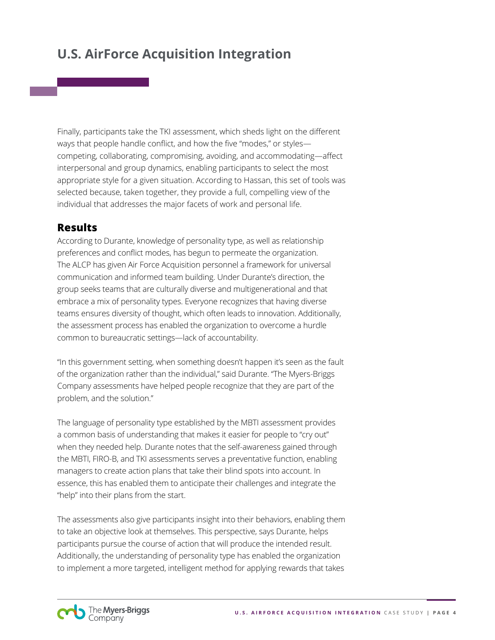Finally, participants take the TKI assessment, which sheds light on the different ways that people handle conflict, and how the five "modes," or styles competing, collaborating, compromising, avoiding, and accommodating—affect interpersonal and group dynamics, enabling participants to select the most appropriate style for a given situation. According to Hassan, this set of tools was selected because, taken together, they provide a full, compelling view of the individual that addresses the major facets of work and personal life.

### **Results**

According to Durante, knowledge of personality type, as well as relationship preferences and conflict modes, has begun to permeate the organization. The ALCP has given Air Force Acquisition personnel a framework for universal communication and informed team building. Under Durante's direction, the group seeks teams that are culturally diverse and multigenerational and that embrace a mix of personality types. Everyone recognizes that having diverse teams ensures diversity of thought, which often leads to innovation. Additionally, the assessment process has enabled the organization to overcome a hurdle common to bureaucratic settings—lack of accountability.

"In this government setting, when something doesn't happen it's seen as the fault of the organization rather than the individual," said Durante. "The Myers-Briggs Company assessments have helped people recognize that they are part of the problem, and the solution."

The language of personality type established by the MBTI assessment provides a common basis of understanding that makes it easier for people to "cry out" when they needed help. Durante notes that the self-awareness gained through the MBTI, FIRO-B, and TKI assessments serves a preventative function, enabling managers to create action plans that take their blind spots into account. In essence, this has enabled them to anticipate their challenges and integrate the "help" into their plans from the start.

The assessments also give participants insight into their behaviors, enabling them to take an objective look at themselves. This perspective, says Durante, helps participants pursue the course of action that will produce the intended result. Additionally, the understanding of personality type has enabled the organization to implement a more targeted, intelligent method for applying rewards that takes

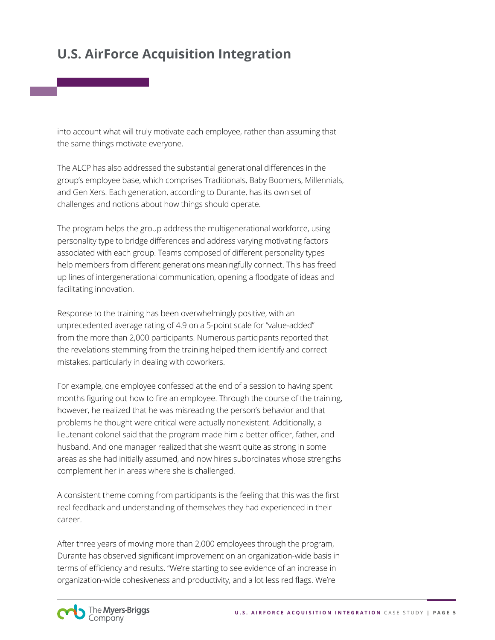into account what will truly motivate each employee, rather than assuming that the same things motivate everyone.

The ALCP has also addressed the substantial generational differences in the group's employee base, which comprises Traditionals, Baby Boomers, Millennials, and Gen Xers. Each generation, according to Durante, has its own set of challenges and notions about how things should operate.

The program helps the group address the multigenerational workforce, using personality type to bridge differences and address varying motivating factors associated with each group. Teams composed of different personality types help members from different generations meaningfully connect. This has freed up lines of intergenerational communication, opening a floodgate of ideas and facilitating innovation.

Response to the training has been overwhelmingly positive, with an unprecedented average rating of 4.9 on a 5-point scale for "value-added" from the more than 2,000 participants. Numerous participants reported that the revelations stemming from the training helped them identify and correct mistakes, particularly in dealing with coworkers.

For example, one employee confessed at the end of a session to having spent months figuring out how to fire an employee. Through the course of the training, however, he realized that he was misreading the person's behavior and that problems he thought were critical were actually nonexistent. Additionally, a lieutenant colonel said that the program made him a better officer, father, and husband. And one manager realized that she wasn't quite as strong in some areas as she had initially assumed, and now hires subordinates whose strengths complement her in areas where she is challenged.

A consistent theme coming from participants is the feeling that this was the first real feedback and understanding of themselves they had experienced in their career.

After three years of moving more than 2,000 employees through the program, Durante has observed significant improvement on an organization-wide basis in terms of efficiency and results. "We're starting to see evidence of an increase in organization-wide cohesiveness and productivity, and a lot less red flags. We're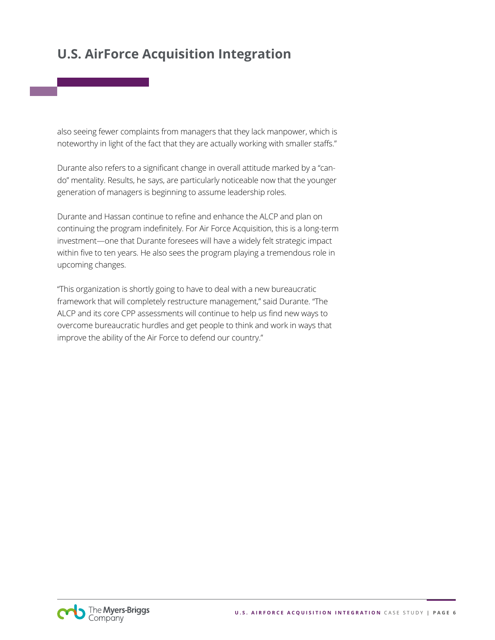also seeing fewer complaints from managers that they lack manpower, which is noteworthy in light of the fact that they are actually working with smaller staffs."

Durante also refers to a significant change in overall attitude marked by a "cando" mentality. Results, he says, are particularly noticeable now that the younger generation of managers is beginning to assume leadership roles.

Durante and Hassan continue to refine and enhance the ALCP and plan on continuing the program indefinitely. For Air Force Acquisition, this is a long-term investment—one that Durante foresees will have a widely felt strategic impact within five to ten years. He also sees the program playing a tremendous role in upcoming changes.

"This organization is shortly going to have to deal with a new bureaucratic framework that will completely restructure management," said Durante. "The ALCP and its core CPP assessments will continue to help us find new ways to overcome bureaucratic hurdles and get people to think and work in ways that improve the ability of the Air Force to defend our country."